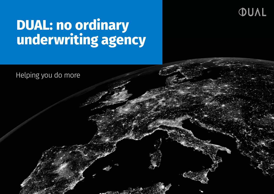## OUAL

## **DUAL: no ordinary underwriting agency**

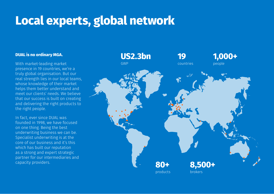## **Local experts, global network**

## **DUAL is no ordinary MGA.**

With market-leading market presence in 19 countries, we're a truly global organisation. But our real strength lies in our local teams, whose knowledge of their market helps them better understand and meet our clients' needs. We believe that our success is built on creating and delivering the right products to the right people.

In fact, ever since DUAL was founded in 1998, we have focused on one thing. Being the best underwriting business we can be. Specialist underwriting is at the core of our business and it's this which has built our reputation as a strong and expert strategic partner for our intermediaries and capacity providers.

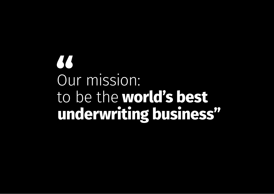# 73 Our mission: to be the **world's best underwriting business"**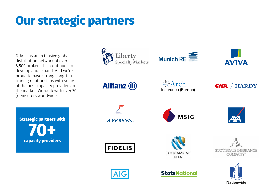## **Our strategic partners Our strategic partners**

DUAL has an extensive global distribution network of over aberibation network of over<br>8,500 brokers that continues to develop and expand. And we're proud to have strong, long-term trading relationships with some of the best capacity providers in the market. We work with over 70 (re)insurers worldwide. **Strategic partners with** o, JUU DIUKEIS LIIAL CUILIIIUES LU **60** 

**6+ Average relationship Strategic partners with 70+ capacity providers**

**years**

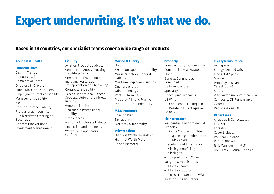## **Expert underwriting. It's what we do.**

## **Based in 19 countries, our specialist teams cover a wide range of products**

#### **Accident & Health**

### **Financial Lines**

Cash in Transit Computer Crime Commercial Crime Directors & Officers Funds Directors & Officers Employment Practice Liability Management Liability M&A Pension Trustee Liability Professional Indemnity Public/Private Offering of Securities Bankers Blanket Bond Investment Management

## **Liability**

Aviation Products Liability Commercial Auto / Trucking Liability & Cargo Commercial Environmental including Restoration, Transportation and Recycling Contractors Liability Excess Habitational, Excess Specialty Auto and Umbrella liability General Liability Healthcare Professional Liability Life Sciences Maritime Employers Liability Protection and Indemnity Worker's Compensation - California

### **Marine & Energy**

Hull Excursion Operators Liability Marine/Offshore General Liability Maritime Employers Liability Onshore energy Offshore energy Ports & Terminals Property / Inland Marine Protection and Indemnity

#### **M&A insurance**

Specific Risk Tax Liability Warranty & Indemnity

### **Private Client**

High Net Worth Household High Net Worth Motor Specialist Motor

#### **Property**

Construction / Builders Risk Commercial Real Estate Flood General Commercial Combined US Homeowners Specialty Unoccupied Properties US Wind US Commercial Earthquake US Residential Earthquake - CA only

### **Title Insurance**

Residential and Commercial Property – Online Comparison Site – Bespoke Legal Indemnities – All Risk Cover Executors and Inheritance

- Missing Beneficiary
- Missing Will
- Comprehensive Cover

Mergers & Acquisitions

- Title to Shares
- Title to Property
- Excess Fundamental W&I

Aviation Title Insurance

### **Treaty Reinsurance**

Aerospace Energy (On and Offshore) Fine Art & Specie Marine Property (Risk and Catastrophe) Surety War, Terrorism & Political Risk Composite XL Reinsurance Cyber XL Retrocessional XL

### **Other Lines**

Antiques & Collectables Fine Art Forestry Cyber Liability Political Violence Public Officials Risk Management (US) US Surety – Rental Deposit